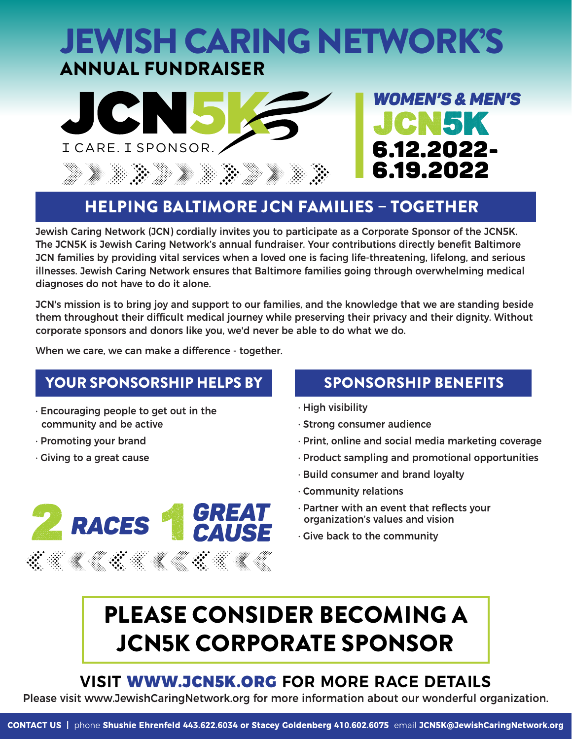# JEWISH CARING NETWORK'S ANNUAL FUNDRAISER





## HELPING BALTIMORE JCN FAMILIES – TOGETHER

Jewish Caring Network (JCN) cordially invites you to participate as a Corporate Sponsor of the JCN5K. The JCN5K is Jewish Caring Network's annual fundraiser. Your contributions directly benefit Baltimore JCN families by providing vital services when a loved one is facing life-threatening, lifelong, and serious illnesses. Jewish Caring Network ensures that Baltimore families going through overwhelming medical diagnoses do not have to do it alone.

JCN's mission is to bring joy and support to our families, and the knowledge that we are standing beside them throughout their difficult medical journey while preserving their privacy and their dignity. Without corporate sponsors and donors like you, we'd never be able to do what we do.

When we care, we can make a difference - together.

## YOUR SPONSORSHIP HELPS BY SPONSORSHIP BENEFITS

- · Encouraging people to get out in the community and be active
- · Promoting your brand
- · Giving to a great cause

**RACES** 

- · High visibility
- · Strong consumer audience
- · Print, online and social media marketing coverage
- · Product sampling and promotional opportunities
- · Build consumer and brand loyalty
- · Community relations
- · Partner with an event that reflects your organization's values and vision
- · Give back to the community

# PLEASE CONSIDER BECOMING A JCN5K CORPORATE SPONSOR

**GREAT** 

CAUSE

## **VISIT** WWW.JCN5K.ORG **FOR MORE RACE DETAILS**

Please visit www.JewishCaringNetwork.org for more information about our wonderful organization.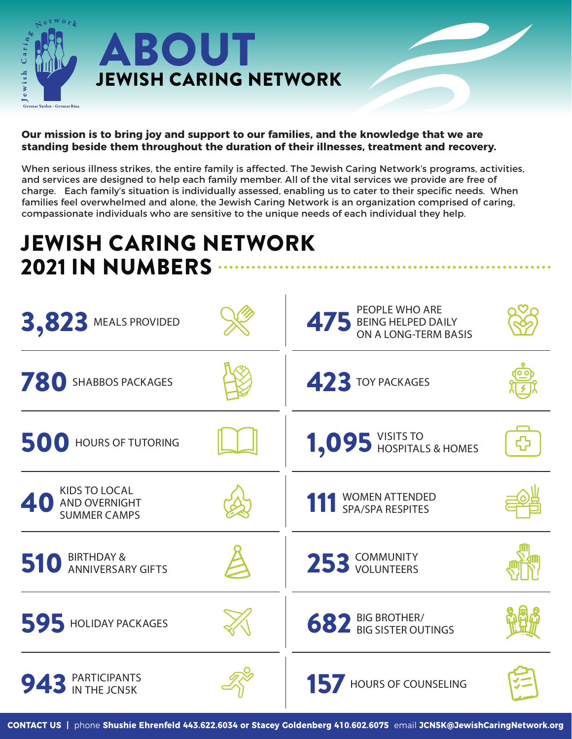

#### **Our mission is to bring joy and support to our families, and the knowledge that we are standing beside them throughout the duration of their illnesses, treatment and recovery.**

When serious illness strikes, the entire family is affected. The Jewish Caring Network's programs, activities, and services are designed to help each family member. All of the vital services we provide are free of charge. Each family's situation is individually assessed, enabling us to cater to their specific needs. When families feel overwhelmed and alone, the Jewish Caring Network is an organization comprised of caring, compassionate individuals who are sensitive to the unique needs of each individual they help.

# JEWISH CARING NETWORK 2021 IN NUMBERS

| 3,823 MEALS PROVIDED                                         | PEOPLE WHO ARE<br><b>475 BEING HELPED DAILY<br/>ON A LONG-TERM BASIS</b> |  |
|--------------------------------------------------------------|--------------------------------------------------------------------------|--|
| 780<br>SHABBOS PACKAGES                                      | 423 TOY PACKAGES                                                         |  |
| 500<br><b>HOURS OF TUTORING</b>                              | 1,095 YISITS TO HOSPITALS & HOMES                                        |  |
| <b>KIDS TO LOCAL</b><br>AND OVERNIGHT<br><b>SUMMER CAMPS</b> | <b>WOMEN ATTENDED</b><br>SPA/SPA RESPITES                                |  |
| <b>BIRTHDAY &amp;</b><br>510<br><b>ANNIVERSARY GIFTS</b>     | 253 COMMUNITY                                                            |  |
| 595 HOLIDAY PACKAGES                                         | <b>682 BIG BROTHER/</b><br><b>682 BIG SISTER OUTINGS</b>                 |  |
| <b>PARTICIPANTS</b><br>943<br>IN THE JCN5K                   | HOURS OF COUNSELING                                                      |  |